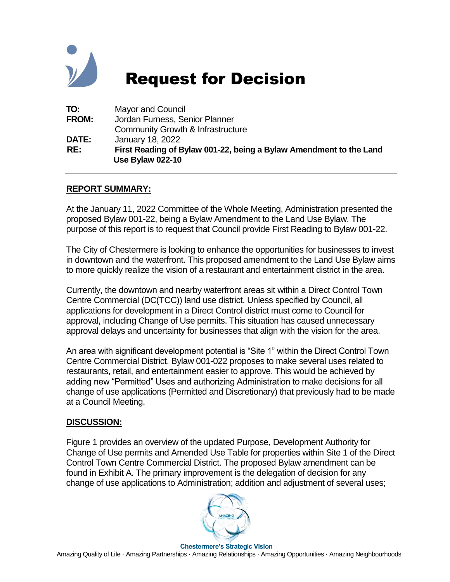

# Request for Decision

| TO:          | <b>Mayor and Council</b>                                                                      |
|--------------|-----------------------------------------------------------------------------------------------|
| <b>FROM:</b> | Jordan Furness, Senior Planner                                                                |
|              | <b>Community Growth &amp; Infrastructure</b>                                                  |
| <b>DATE:</b> | January 18, 2022                                                                              |
| RE:          | First Reading of Bylaw 001-22, being a Bylaw Amendment to the Land<br><b>Use Bylaw 022-10</b> |

#### **REPORT SUMMARY:**

At the January 11, 2022 Committee of the Whole Meeting, Administration presented the proposed Bylaw 001-22, being a Bylaw Amendment to the Land Use Bylaw. The purpose of this report is to request that Council provide First Reading to Bylaw 001-22.

The City of Chestermere is looking to enhance the opportunities for businesses to invest in downtown and the waterfront. This proposed amendment to the Land Use Bylaw aims to more quickly realize the vision of a restaurant and entertainment district in the area.

Currently, the downtown and nearby waterfront areas sit within a Direct Control Town Centre Commercial (DC(TCC)) land use district. Unless specified by Council, all applications for development in a Direct Control district must come to Council for approval, including Change of Use permits. This situation has caused unnecessary approval delays and uncertainty for businesses that align with the vision for the area.

An area with significant development potential is "Site 1" within the Direct Control Town Centre Commercial District. Bylaw 001-022 proposes to make several uses related to restaurants, retail, and entertainment easier to approve. This would be achieved by adding new "Permitted" Uses and authorizing Administration to make decisions for all change of use applications (Permitted and Discretionary) that previously had to be made at a Council Meeting.

#### **DISCUSSION:**

Figure 1 provides an overview of the updated Purpose, Development Authority for Change of Use permits and Amended Use Table for properties within Site 1 of the Direct Control Town Centre Commercial District. The proposed Bylaw amendment can be found in Exhibit A. The primary improvement is the delegation of decision for any change of use applications to Administration; addition and adjustment of several uses;

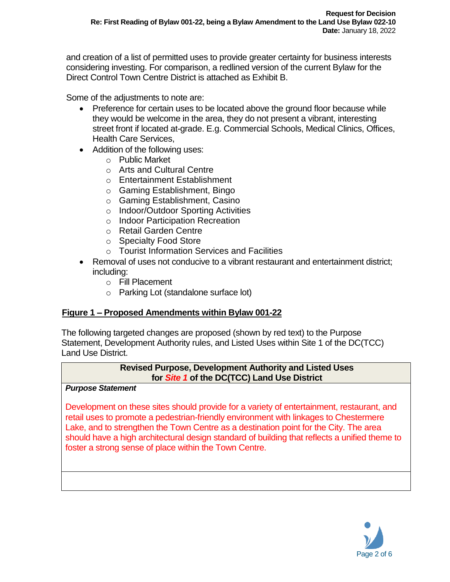and creation of a list of permitted uses to provide greater certainty for business interests considering investing. For comparison, a redlined version of the current Bylaw for the Direct Control Town Centre District is attached as Exhibit B.

Some of the adjustments to note are:

- Preference for certain uses to be located above the ground floor because while they would be welcome in the area, they do not present a vibrant, interesting street front if located at-grade. E.g. Commercial Schools, Medical Clinics, Offices, Health Care Services,
- Addition of the following uses:
	- o Public Market
	- o Arts and Cultural Centre
	- o Entertainment Establishment
	- o Gaming Establishment, Bingo
	- o Gaming Establishment, Casino
	- o Indoor/Outdoor Sporting Activities
	- o Indoor Participation Recreation
	- o Retail Garden Centre
	- o Specialty Food Store
	- o Tourist Information Services and Facilities
- Removal of uses not conducive to a vibrant restaurant and entertainment district; including:
	- o Fill Placement
	- o Parking Lot (standalone surface lot)

# **Figure 1 – Proposed Amendments within Bylaw 001-22**

The following targeted changes are proposed (shown by red text) to the Purpose Statement, Development Authority rules, and Listed Uses within Site 1 of the DC(TCC) Land Use District.

#### **Revised Purpose, Development Authority and Listed Uses for** *Site 1* **of the DC(TCC) Land Use District**

#### *Purpose Statement*

Development on these sites should provide for a variety of entertainment, restaurant, and retail uses to promote a pedestrian-friendly environment with linkages to Chestermere Lake, and to strengthen the Town Centre as a destination point for the City. The area should have a high architectural design standard of building that reflects a unified theme to foster a strong sense of place within the Town Centre.

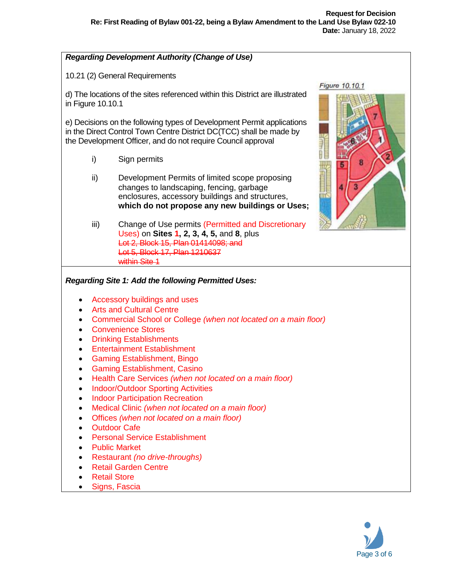#### *Regarding Development Authority (Change of Use)*

10.21 (2) General Requirements

d) The locations of the sites referenced within this District are illustrated in Figure 10.10.1

e) Decisions on the following types of Development Permit applications in the Direct Control Town Centre District DC(TCC) shall be made by the Development Officer, and do not require Council approval

- i) Sign permits
- ii) Development Permits of limited scope proposing changes to landscaping, fencing, garbage enclosures, accessory buildings and structures, **which do not propose any new buildings or Uses;**
- iii) Change of Use permits (Permitted and Discretionary Uses) on **Sites 1, 2, 3, 4, 5,** and **8**, plus Lot 2, Block 15, Plan 01414098; and Lot 5, Block 17, Plan 1210637 within Site 1



#### *Regarding Site 1: Add the following Permitted Uses:*

- Accessory buildings and uses
- Arts and Cultural Centre
- Commercial School or College *(when not located on a main floor)*
- Convenience Stores
- Drinking Establishments
- **Entertainment Establishment**
- Gaming Establishment, Bingo
- Gaming Establishment, Casino
- Health Care Services *(when not located on a main floor)*
- Indoor/Outdoor Sporting Activities
- Indoor Participation Recreation
- Medical Clinic *(when not located on a main floor)*
- Offices *(when not located on a main floor)*
- Outdoor Cafe
- Personal Service Establishment
- Public Market
- Restaurant *(no drive-throughs)*
- Retail Garden Centre
- Retail Store
- Signs, Fascia

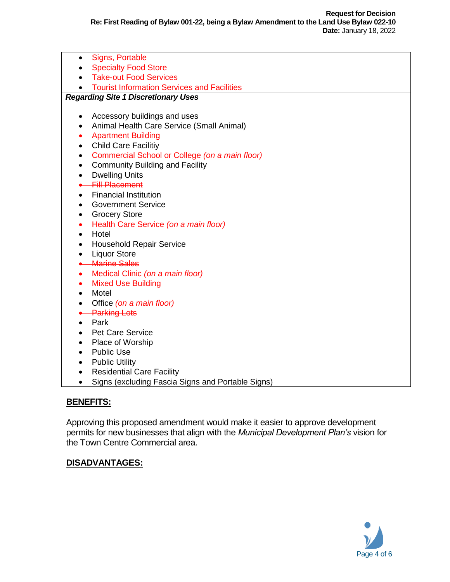Signs, Portable • Specialty Food Store • Take-out Food Services **• Tourist Information Services and Facilities** *Regarding Site 1 Discretionary Uses* Accessory buildings and uses • Animal Health Care Service (Small Animal) • Apartment Building Child Care Facilitiy Commercial School or College *(on a main floor)* • Community Building and Facility • Dwelling Units **•** Fill Placement Financial Institution **•** Government Service Grocery Store Health Care Service *(on a main floor)* • Hotel Household Repair Service • Liquor Store **Marine Sales**  Medical Clinic *(on a main floor)* • Mixed Use Building • Motel Office *(on a main floor)* **A** Parking Lots • Park • Pet Care Service • Place of Worship • Public Use • Public Utility • Residential Care Facility • Signs (excluding Fascia Signs and Portable Signs)

#### **BENEFITS:**

Approving this proposed amendment would make it easier to approve development permits for new businesses that align with the *Municipal Development Plan's* vision for the Town Centre Commercial area.

#### **DISADVANTAGES:**

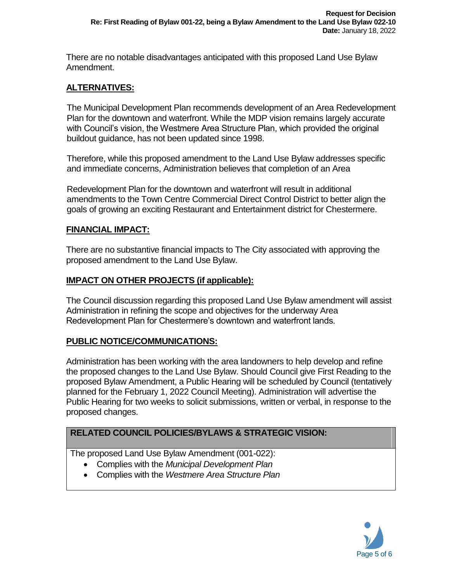There are no notable disadvantages anticipated with this proposed Land Use Bylaw Amendment.

# **ALTERNATIVES:**

The Municipal Development Plan recommends development of an Area Redevelopment Plan for the downtown and waterfront. While the MDP vision remains largely accurate with Council's vision, the Westmere Area Structure Plan, which provided the original buildout guidance, has not been updated since 1998.

Therefore, while this proposed amendment to the Land Use Bylaw addresses specific and immediate concerns, Administration believes that completion of an Area

Redevelopment Plan for the downtown and waterfront will result in additional amendments to the Town Centre Commercial Direct Control District to better align the goals of growing an exciting Restaurant and Entertainment district for Chestermere.

# **FINANCIAL IMPACT:**

There are no substantive financial impacts to The City associated with approving the proposed amendment to the Land Use Bylaw.

# **IMPACT ON OTHER PROJECTS (if applicable):**

The Council discussion regarding this proposed Land Use Bylaw amendment will assist Administration in refining the scope and objectives for the underway Area Redevelopment Plan for Chestermere's downtown and waterfront lands.

# **PUBLIC NOTICE/COMMUNICATIONS:**

Administration has been working with the area landowners to help develop and refine the proposed changes to the Land Use Bylaw. Should Council give First Reading to the proposed Bylaw Amendment, a Public Hearing will be scheduled by Council (tentatively planned for the February 1, 2022 Council Meeting). Administration will advertise the Public Hearing for two weeks to solicit submissions, written or verbal, in response to the proposed changes.

# **RELATED COUNCIL POLICIES/BYLAWS & STRATEGIC VISION:**

The proposed Land Use Bylaw Amendment (001-022):

- Complies with the *Municipal Development Plan*
- Complies with the *Westmere Area Structure Plan*